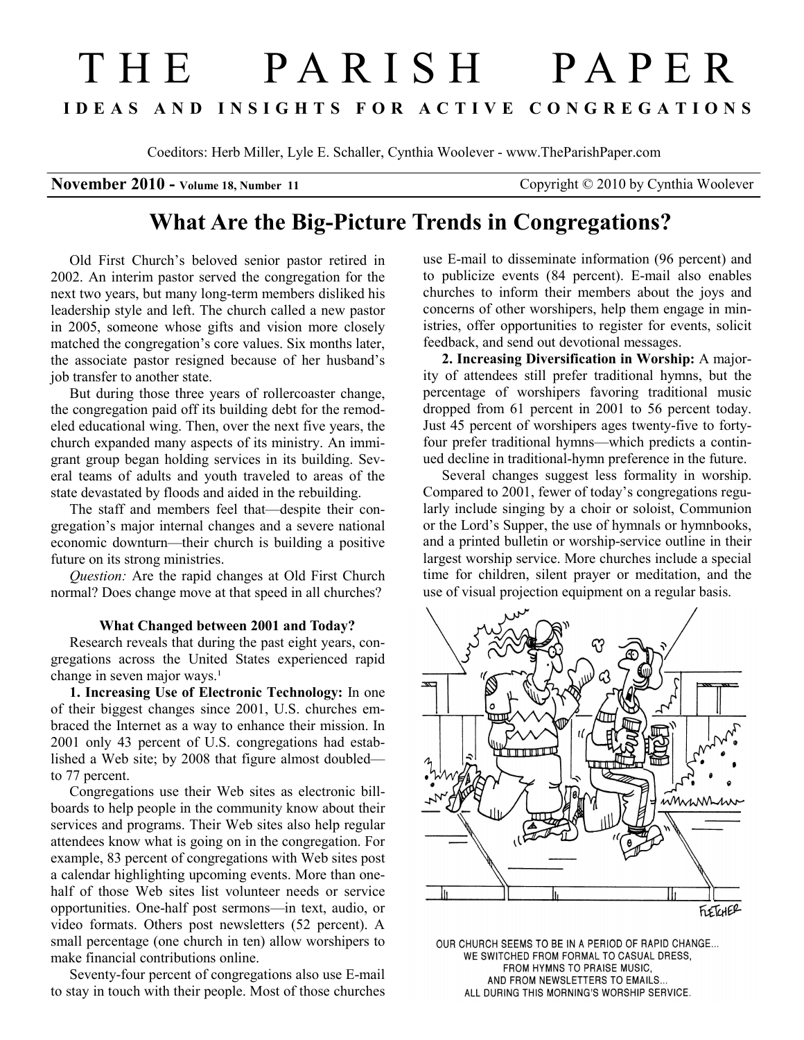# T H E P A R I S H P A P E R I D E A S A N D I N S I G H T S F O R A C T I V E C O N G R E G A T I O N S

Coeditors: Herb Miller, Lyle E. Schaller, Cynthia Woolever - www.TheParishPaper.com

November 2010 - Volume 18, Number 11 Copyright © 2010 by Cynthia Woolever

# What Are the Big-Picture Trends in Congregations?

Old First Church's beloved senior pastor retired in 2002. An interim pastor served the congregation for the next two years, but many long-term members disliked his leadership style and left. The church called a new pastor in 2005, someone whose gifts and vision more closely matched the congregation's core values. Six months later, the associate pastor resigned because of her husband's job transfer to another state.

But during those three years of rollercoaster change, the congregation paid off its building debt for the remodeled educational wing. Then, over the next five years, the church expanded many aspects of its ministry. An immigrant group began holding services in its building. Several teams of adults and youth traveled to areas of the state devastated by floods and aided in the rebuilding.

The staff and members feel that—despite their congregation's major internal changes and a severe national economic downturn—their church is building a positive future on its strong ministries.

Question: Are the rapid changes at Old First Church normal? Does change move at that speed in all churches?

#### What Changed between 2001 and Today?

Research reveals that during the past eight years, congregations across the United States experienced rapid change in seven major ways.<sup>1</sup>

1. Increasing Use of Electronic Technology: In one of their biggest changes since 2001, U.S. churches embraced the Internet as a way to enhance their mission. In 2001 only 43 percent of U.S. congregations had established a Web site; by 2008 that figure almost doubled to 77 percent.

Congregations use their Web sites as electronic billboards to help people in the community know about their services and programs. Their Web sites also help regular attendees know what is going on in the congregation. For example, 83 percent of congregations with Web sites post a calendar highlighting upcoming events. More than onehalf of those Web sites list volunteer needs or service opportunities. One-half post sermons—in text, audio, or video formats. Others post newsletters (52 percent). A small percentage (one church in ten) allow worshipers to make financial contributions online.

Seventy-four percent of congregations also use E-mail to stay in touch with their people. Most of those churches

use E-mail to disseminate information (96 percent) and to publicize events (84 percent). E-mail also enables churches to inform their members about the joys and concerns of other worshipers, help them engage in ministries, offer opportunities to register for events, solicit feedback, and send out devotional messages.

2. Increasing Diversification in Worship: A majority of attendees still prefer traditional hymns, but the percentage of worshipers favoring traditional music dropped from 61 percent in 2001 to 56 percent today. Just 45 percent of worshipers ages twenty-five to fortyfour prefer traditional hymns—which predicts a continued decline in traditional-hymn preference in the future.

Several changes suggest less formality in worship. Compared to 2001, fewer of today's congregations regularly include singing by a choir or soloist, Communion or the Lord's Supper, the use of hymnals or hymnbooks, and a printed bulletin or worship-service outline in their largest worship service. More churches include a special time for children, silent prayer or meditation, and the use of visual projection equipment on a regular basis.



OUR CHURCH SEEMS TO BE IN A PERIOD OF RAPID CHANGE... WE SWITCHED FROM FORMAL TO CASUAL DRESS, FROM HYMNS TO PRAISE MUSIC, AND FROM NEWSLETTERS TO EMAILS. ALL DURING THIS MORNING'S WORSHIP SERVICE.